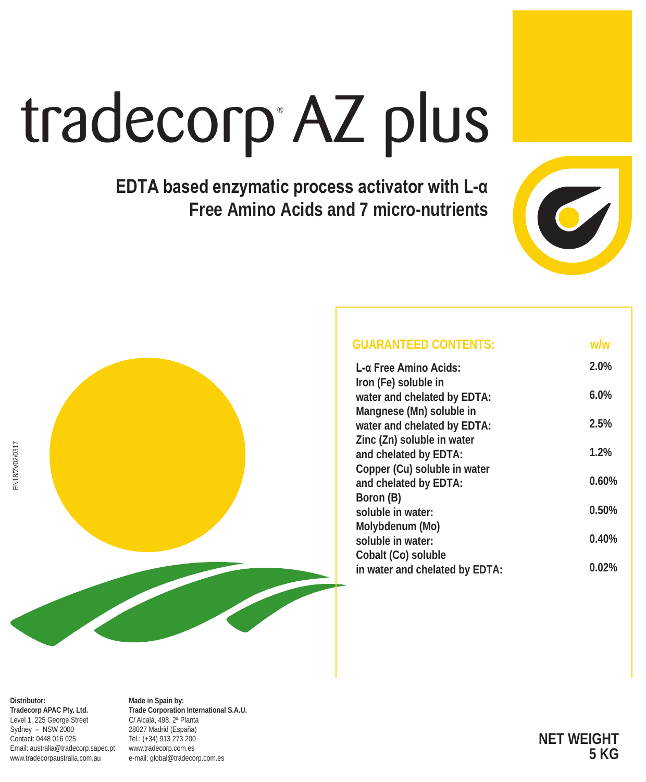# tradecorp AZ plus

**EDTA based enzymatic process activator with L-α Free Amino Acids and 7 micro-nutrients**





| <b>GUARANTEED CONTENTS:</b>    | ww       |
|--------------------------------|----------|
| L-α Free Amino Acids:          | 2.0%     |
| Iron (Fe) soluble in           |          |
| water and chelated by EDTA:    | 6.0%     |
| Mangnese (Mn) soluble in       |          |
| water and chelated by EDTA:    | 2.5%     |
| Zinc (Zn) soluble in water     |          |
| and chelated by EDTA:          | 1.2%     |
| Copper (Cu) soluble in water   |          |
| and chelated by EDTA:          | 0.60%    |
| Boron (B)                      |          |
| soluble in water:              | 0.50%    |
| Molybdenum (Mo)                |          |
| soluble in water:              | 0.40%    |
| Cobalt (Co) soluble            |          |
| in water and chelated by EDTA: | $0.02\%$ |
|                                |          |

**Distributor: Tradecorp APAC Pty. Ltd.** Level 1, 225 George Street Sydney – NSW 2000 Contact: 0448 016 025 Email: australia@tradecorp.sapec.pt www.tradecorpaustralia.com.au

**Made in Spain by: Trade Corporation International S.A.U.** C/ Alcalá, 498. 2ª Planta 28027 Madrid (España) Tel.: (+34) 913 273 200 www.tradecorp.com.es e-mail: global@tradecorp.com.es